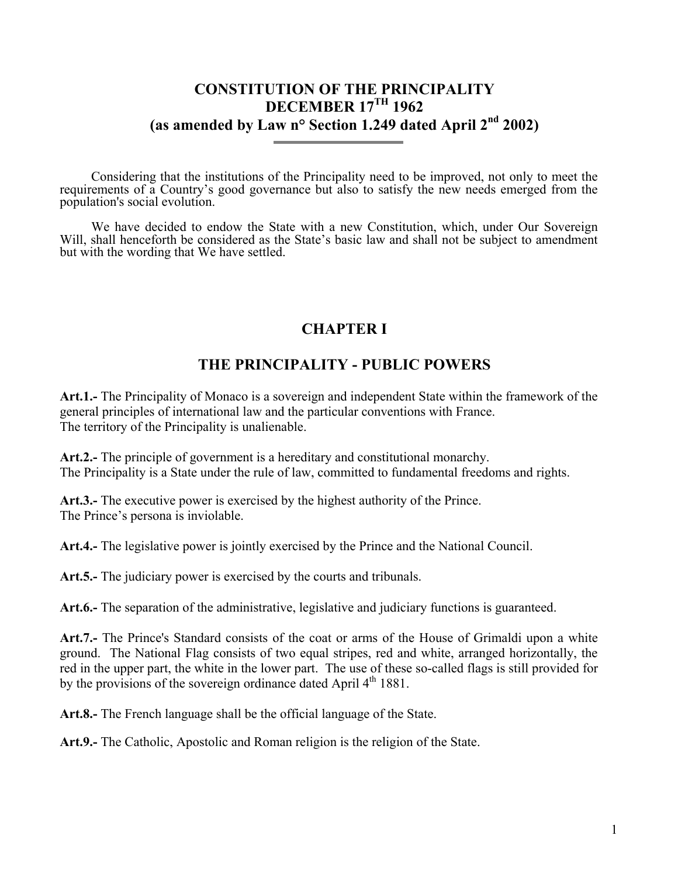## **CONSTITUTION OF THE PRINCIPALITY DECEMBER 17TH 1962 (as amended by Law n° Section 1.249 dated April 2nd 2002)**

Considering that the institutions of the Principality need to be improved, not only to meet the requirements of a Country's good governance but also to satisfy the new needs emerged from the population's social evolution.

We have decided to endow the State with a new Constitution, which, under Our Sovereign Will, shall henceforth be considered as the State's basic law and shall not be subject to amendment but with the wording that We have settled.

## **CHAPTER I**

# **THE PRINCIPALITY - PUBLIC POWERS**

**Art.1.-** The Principality of Monaco is a sovereign and independent State within the framework of the general principles of international law and the particular conventions with France. The territory of the Principality is unalienable.

**Art.2.-** The principle of government is a hereditary and constitutional monarchy. The Principality is a State under the rule of law, committed to fundamental freedoms and rights.

**Art.3.-** The executive power is exercised by the highest authority of the Prince. The Prince's persona is inviolable.

**Art.4.-** The legislative power is jointly exercised by the Prince and the National Council.

**Art.5.-** The judiciary power is exercised by the courts and tribunals.

**Art.6.-** The separation of the administrative, legislative and judiciary functions is guaranteed.

**Art.7.-** The Prince's Standard consists of the coat or arms of the House of Grimaldi upon a white ground. The National Flag consists of two equal stripes, red and white, arranged horizontally, the red in the upper part, the white in the lower part. The use of these so-called flags is still provided for by the provisions of the sovereign ordinance dated April  $4<sup>th</sup> 1881$ .

**Art.8.-** The French language shall be the official language of the State.

**Art.9.-** The Catholic, Apostolic and Roman religion is the religion of the State.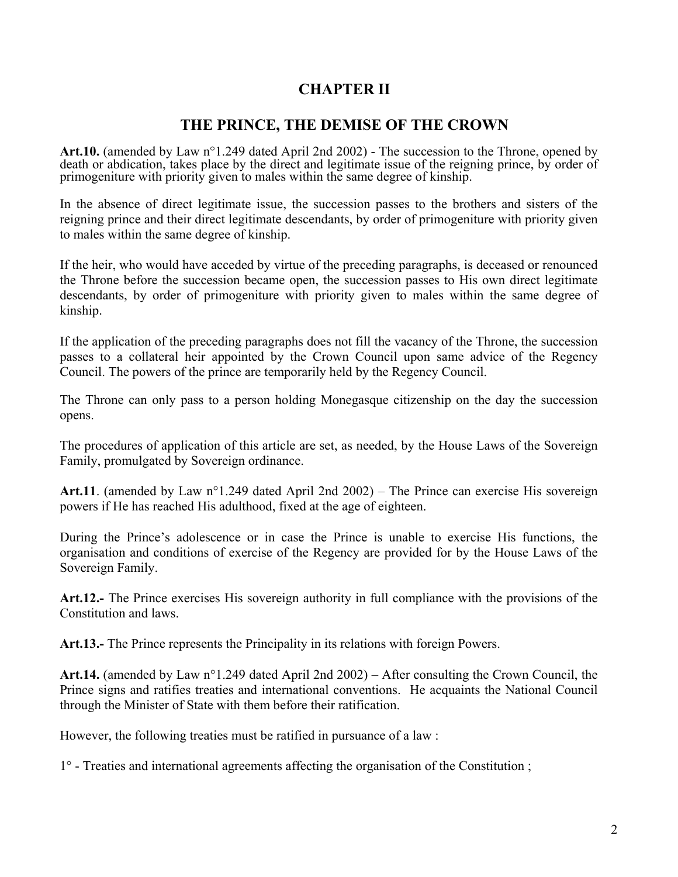## **CHAPTER II**

#### **THE PRINCE, THE DEMISE OF THE CROWN**

**Art.10.** (amended by Law n°1.249 dated April 2nd 2002) - The succession to the Throne, opened by death or abdication, takes place by the direct and legitimate issue of the reigning prince, by order of primogeniture with priority given to males within the same degree of kinship.

In the absence of direct legitimate issue, the succession passes to the brothers and sisters of the reigning prince and their direct legitimate descendants, by order of primogeniture with priority given to males within the same degree of kinship.

If the heir, who would have acceded by virtue of the preceding paragraphs, is deceased or renounced the Throne before the succession became open, the succession passes to His own direct legitimate descendants, by order of primogeniture with priority given to males within the same degree of kinship.

If the application of the preceding paragraphs does not fill the vacancy of the Throne, the succession passes to a collateral heir appointed by the Crown Council upon same advice of the Regency Council. The powers of the prince are temporarily held by the Regency Council.

The Throne can only pass to a person holding Monegasque citizenship on the day the succession opens.

The procedures of application of this article are set, as needed, by the House Laws of the Sovereign Family, promulgated by Sovereign ordinance.

**Art.11**. (amended by Law n°1.249 dated April 2nd 2002) – The Prince can exercise His sovereign powers if He has reached His adulthood, fixed at the age of eighteen.

During the Prince's adolescence or in case the Prince is unable to exercise His functions, the organisation and conditions of exercise of the Regency are provided for by the House Laws of the Sovereign Family.

**Art.12.-** The Prince exercises His sovereign authority in full compliance with the provisions of the Constitution and laws.

**Art.13.-** The Prince represents the Principality in its relations with foreign Powers.

**Art.14.** (amended by Law n°1.249 dated April 2nd 2002) – After consulting the Crown Council, the Prince signs and ratifies treaties and international conventions. He acquaints the National Council through the Minister of State with them before their ratification.

However, the following treaties must be ratified in pursuance of a law :

1° - Treaties and international agreements affecting the organisation of the Constitution ;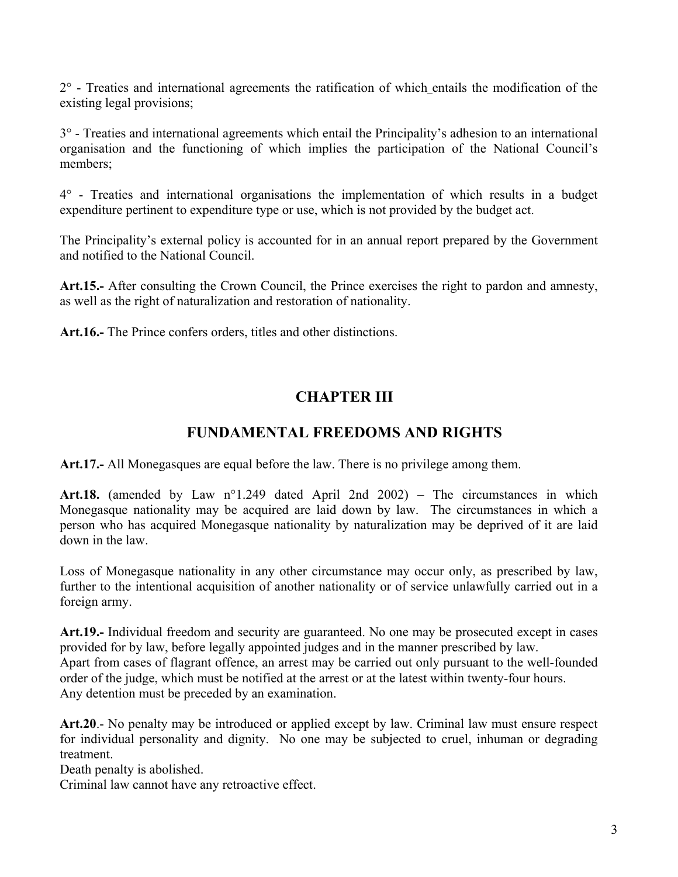2° - Treaties and international agreements the ratification of which entails the modification of the existing legal provisions;

3° - Treaties and international agreements which entail the Principality's adhesion to an international organisation and the functioning of which implies the participation of the National Council's members;

4° - Treaties and international organisations the implementation of which results in a budget expenditure pertinent to expenditure type or use, which is not provided by the budget act.

The Principality's external policy is accounted for in an annual report prepared by the Government and notified to the National Council.

**Art.15.-** After consulting the Crown Council, the Prince exercises the right to pardon and amnesty, as well as the right of naturalization and restoration of nationality.

**Art.16.-** The Prince confers orders, titles and other distinctions.

# **CHAPTER III**

## **FUNDAMENTAL FREEDOMS AND RIGHTS**

**Art.17.-** All Monegasques are equal before the law. There is no privilege among them.

**Art.18.** (amended by Law n°1.249 dated April 2nd 2002) – The circumstances in which Monegasque nationality may be acquired are laid down by law. The circumstances in which a person who has acquired Monegasque nationality by naturalization may be deprived of it are laid down in the law.

Loss of Monegasque nationality in any other circumstance may occur only, as prescribed by law, further to the intentional acquisition of another nationality or of service unlawfully carried out in a foreign army.

**Art.19.-** Individual freedom and security are guaranteed. No one may be prosecuted except in cases provided for by law, before legally appointed judges and in the manner prescribed by law. Apart from cases of flagrant offence, an arrest may be carried out only pursuant to the well-founded order of the judge, which must be notified at the arrest or at the latest within twenty-four hours. Any detention must be preceded by an examination.

**Art.20**.- No penalty may be introduced or applied except by law. Criminal law must ensure respect for individual personality and dignity. No one may be subjected to cruel, inhuman or degrading treatment.

Death penalty is abolished.

Criminal law cannot have any retroactive effect.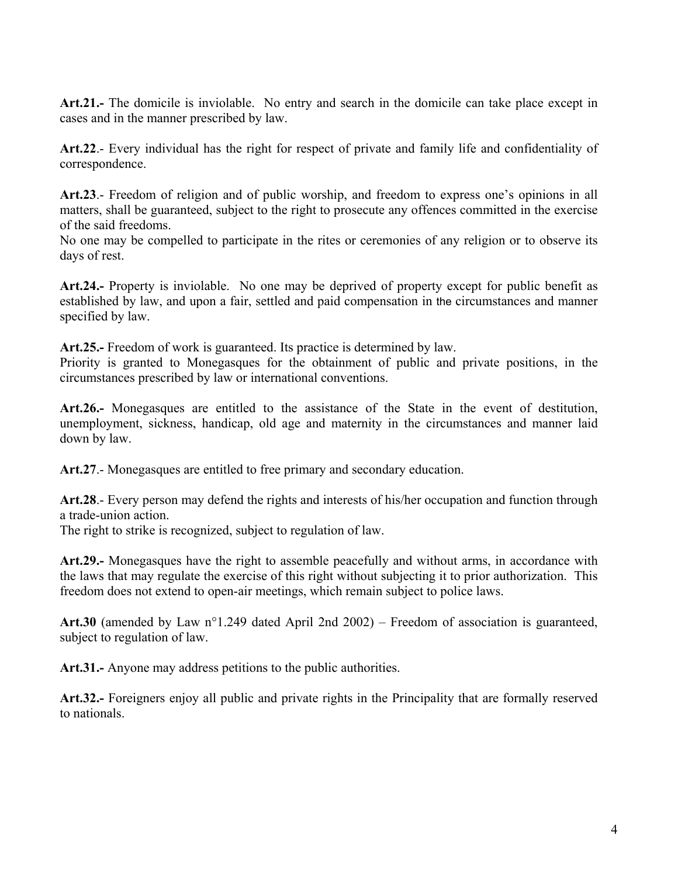**Art.21.-** The domicile is inviolable. No entry and search in the domicile can take place except in cases and in the manner prescribed by law.

**Art.22**.- Every individual has the right for respect of private and family life and confidentiality of correspondence.

**Art.23**.- Freedom of religion and of public worship, and freedom to express one's opinions in all matters, shall be guaranteed, subject to the right to prosecute any offences committed in the exercise of the said freedoms.

No one may be compelled to participate in the rites or ceremonies of any religion or to observe its days of rest.

**Art.24.-** Property is inviolable. No one may be deprived of property except for public benefit as established by law, and upon a fair, settled and paid compensation in the circumstances and manner specified by law.

**Art.25.-** Freedom of work is guaranteed. Its practice is determined by law.

Priority is granted to Monegasques for the obtainment of public and private positions, in the circumstances prescribed by law or international conventions.

**Art.26.-** Monegasques are entitled to the assistance of the State in the event of destitution, unemployment, sickness, handicap, old age and maternity in the circumstances and manner laid down by law.

**Art.27**.- Monegasques are entitled to free primary and secondary education.

**Art.28**.- Every person may defend the rights and interests of his/her occupation and function through a trade-union action.

The right to strike is recognized, subject to regulation of law.

**Art.29.-** Monegasques have the right to assemble peacefully and without arms, in accordance with the laws that may regulate the exercise of this right without subjecting it to prior authorization. This freedom does not extend to open-air meetings, which remain subject to police laws.

**Art.30** (amended by Law n°1.249 dated April 2nd 2002) – Freedom of association is guaranteed, subject to regulation of law.

**Art.31.-** Anyone may address petitions to the public authorities.

**Art.32.-** Foreigners enjoy all public and private rights in the Principality that are formally reserved to nationals.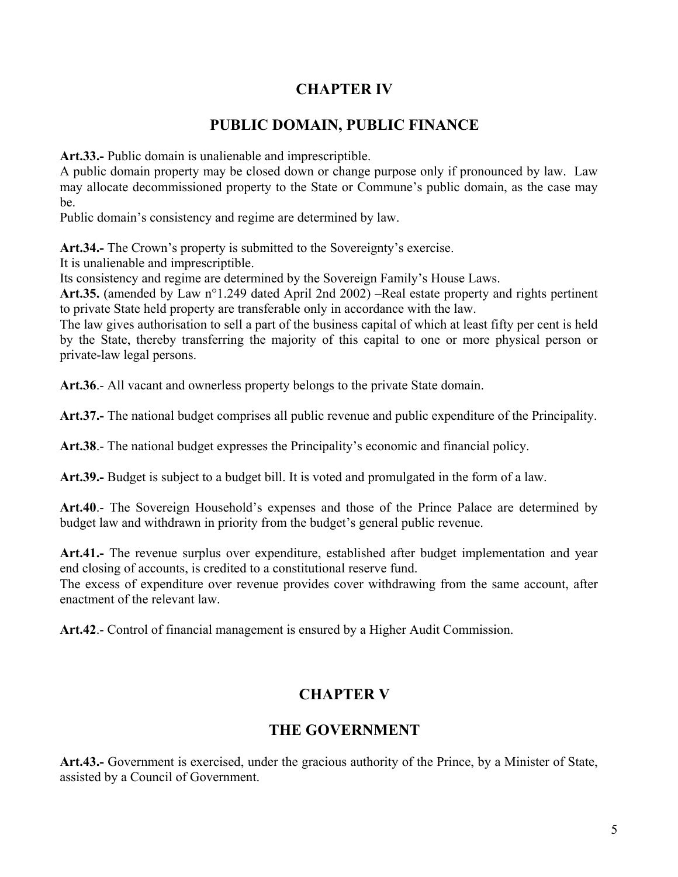## **CHAPTER IV**

## **PUBLIC DOMAIN, PUBLIC FINANCE**

**Art.33.-** Public domain is unalienable and imprescriptible.

A public domain property may be closed down or change purpose only if pronounced by law. Law may allocate decommissioned property to the State or Commune's public domain, as the case may be.

Public domain's consistency and regime are determined by law.

**Art.34.-** The Crown's property is submitted to the Sovereignty's exercise.

It is unalienable and imprescriptible.

Its consistency and regime are determined by the Sovereign Family's House Laws.

**Art.35.** (amended by Law n°1.249 dated April 2nd 2002) –Real estate property and rights pertinent to private State held property are transferable only in accordance with the law.

The law gives authorisation to sell a part of the business capital of which at least fifty per cent is held by the State, thereby transferring the majority of this capital to one or more physical person or private-law legal persons.

**Art.36**.- All vacant and ownerless property belongs to the private State domain.

**Art.37.-** The national budget comprises all public revenue and public expenditure of the Principality.

**Art.38**.- The national budget expresses the Principality's economic and financial policy.

**Art.39.-** Budget is subject to a budget bill. It is voted and promulgated in the form of a law.

**Art.40**.- The Sovereign Household's expenses and those of the Prince Palace are determined by budget law and withdrawn in priority from the budget's general public revenue.

**Art.41.-** The revenue surplus over expenditure, established after budget implementation and year end closing of accounts, is credited to a constitutional reserve fund.

The excess of expenditure over revenue provides cover withdrawing from the same account, after enactment of the relevant law.

**Art.42**.- Control of financial management is ensured by a Higher Audit Commission.

## **CHAPTER V**

#### **THE GOVERNMENT**

**Art.43.-** Government is exercised, under the gracious authority of the Prince, by a Minister of State, assisted by a Council of Government.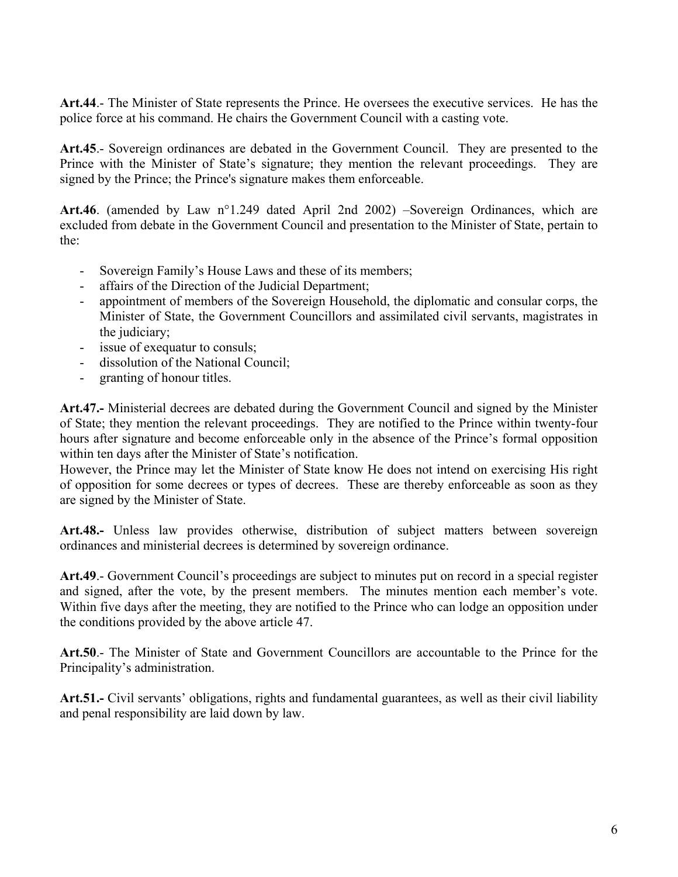**Art.44**.- The Minister of State represents the Prince. He oversees the executive services. He has the police force at his command. He chairs the Government Council with a casting vote.

**Art.45**.- Sovereign ordinances are debated in the Government Council. They are presented to the Prince with the Minister of State's signature; they mention the relevant proceedings. They are signed by the Prince; the Prince's signature makes them enforceable.

**Art.46**. (amended by Law n°1.249 dated April 2nd 2002) –Sovereign Ordinances, which are excluded from debate in the Government Council and presentation to the Minister of State, pertain to the:

- Sovereign Family's House Laws and these of its members;
- affairs of the Direction of the Judicial Department;
- appointment of members of the Sovereign Household, the diplomatic and consular corps, the Minister of State, the Government Councillors and assimilated civil servants, magistrates in the judiciary;
- issue of exequatur to consuls;
- dissolution of the National Council;
- granting of honour titles.

**Art.47.-** Ministerial decrees are debated during the Government Council and signed by the Minister of State; they mention the relevant proceedings. They are notified to the Prince within twenty-four hours after signature and become enforceable only in the absence of the Prince's formal opposition within ten days after the Minister of State's notification.

However, the Prince may let the Minister of State know He does not intend on exercising His right of opposition for some decrees or types of decrees. These are thereby enforceable as soon as they are signed by the Minister of State.

**Art.48.-** Unless law provides otherwise, distribution of subject matters between sovereign ordinances and ministerial decrees is determined by sovereign ordinance.

**Art.49**.- Government Council's proceedings are subject to minutes put on record in a special register and signed, after the vote, by the present members. The minutes mention each member's vote. Within five days after the meeting, they are notified to the Prince who can lodge an opposition under the conditions provided by the above article 47.

**Art.50**.- The Minister of State and Government Councillors are accountable to the Prince for the Principality's administration.

**Art.51.-** Civil servants' obligations, rights and fundamental guarantees, as well as their civil liability and penal responsibility are laid down by law.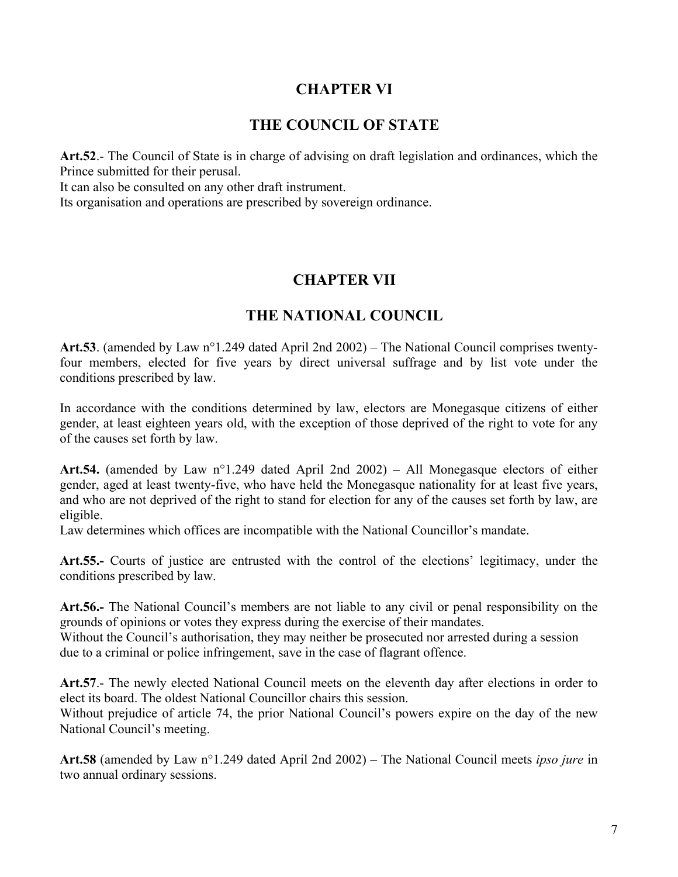## **CHAPTER VI**

### **THE COUNCIL OF STATE**

**Art.52**.- The Council of State is in charge of advising on draft legislation and ordinances, which the Prince submitted for their perusal.

It can also be consulted on any other draft instrument.

Its organisation and operations are prescribed by sovereign ordinance.

## **CHAPTER VII**

## **THE NATIONAL COUNCIL**

**Art.53**. (amended by Law n°1.249 dated April 2nd 2002) – The National Council comprises twentyfour members, elected for five years by direct universal suffrage and by list vote under the conditions prescribed by law.

In accordance with the conditions determined by law, electors are Monegasque citizens of either gender, at least eighteen years old, with the exception of those deprived of the right to vote for any of the causes set forth by law.

**Art.54.** (amended by Law n°1.249 dated April 2nd 2002) – All Monegasque electors of either gender, aged at least twenty-five, who have held the Monegasque nationality for at least five years, and who are not deprived of the right to stand for election for any of the causes set forth by law, are eligible.

Law determines which offices are incompatible with the National Councillor's mandate.

**Art.55.-** Courts of justice are entrusted with the control of the elections' legitimacy, under the conditions prescribed by law.

**Art.56.-** The National Council's members are not liable to any civil or penal responsibility on the grounds of opinions or votes they express during the exercise of their mandates.

Without the Council's authorisation, they may neither be prosecuted nor arrested during a session due to a criminal or police infringement, save in the case of flagrant offence.

**Art.57**.- The newly elected National Council meets on the eleventh day after elections in order to elect its board. The oldest National Councillor chairs this session.

Without prejudice of article 74, the prior National Council's powers expire on the day of the new National Council's meeting.

**Art.58** (amended by Law n°1.249 dated April 2nd 2002) – The National Council meets *ipso jure* in two annual ordinary sessions.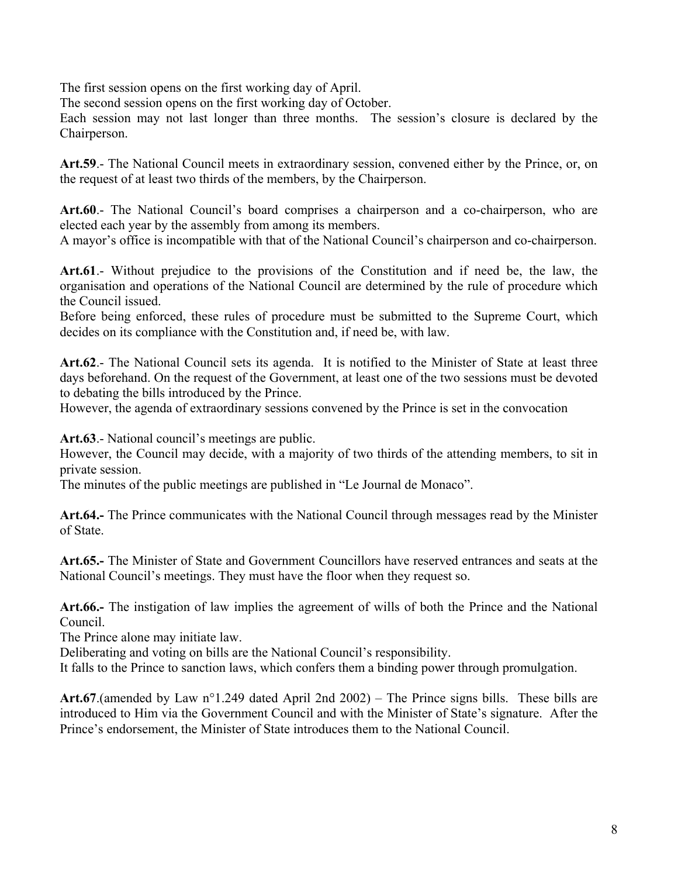The first session opens on the first working day of April.

The second session opens on the first working day of October.

Each session may not last longer than three months. The session's closure is declared by the Chairperson.

**Art.59**.- The National Council meets in extraordinary session, convened either by the Prince, or, on the request of at least two thirds of the members, by the Chairperson.

**Art.60**.- The National Council's board comprises a chairperson and a co-chairperson, who are elected each year by the assembly from among its members.

A mayor's office is incompatible with that of the National Council's chairperson and co-chairperson.

**Art.61**.- Without prejudice to the provisions of the Constitution and if need be, the law, the organisation and operations of the National Council are determined by the rule of procedure which the Council issued.

Before being enforced, these rules of procedure must be submitted to the Supreme Court, which decides on its compliance with the Constitution and, if need be, with law.

**Art.62**.- The National Council sets its agenda. It is notified to the Minister of State at least three days beforehand. On the request of the Government, at least one of the two sessions must be devoted to debating the bills introduced by the Prince.

However, the agenda of extraordinary sessions convened by the Prince is set in the convocation

**Art.63**.- National council's meetings are public.

However, the Council may decide, with a majority of two thirds of the attending members, to sit in private session.

The minutes of the public meetings are published in "Le Journal de Monaco".

**Art.64.-** The Prince communicates with the National Council through messages read by the Minister of State.

**Art.65.-** The Minister of State and Government Councillors have reserved entrances and seats at the National Council's meetings. They must have the floor when they request so.

**Art.66.-** The instigation of law implies the agreement of wills of both the Prince and the National Council.

The Prince alone may initiate law.

Deliberating and voting on bills are the National Council's responsibility.

It falls to the Prince to sanction laws, which confers them a binding power through promulgation.

**Art.67**.(amended by Law n°1.249 dated April 2nd 2002) – The Prince signs bills. These bills are introduced to Him via the Government Council and with the Minister of State's signature. After the Prince's endorsement, the Minister of State introduces them to the National Council.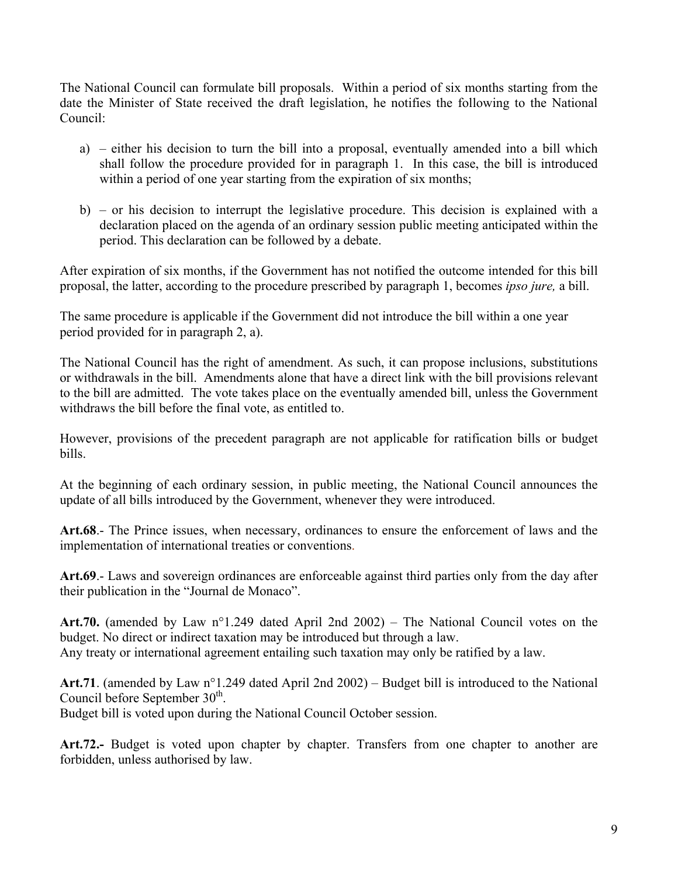The National Council can formulate bill proposals. Within a period of six months starting from the date the Minister of State received the draft legislation, he notifies the following to the National Council:

- a) either his decision to turn the bill into a proposal, eventually amended into a bill which shall follow the procedure provided for in paragraph 1. In this case, the bill is introduced within a period of one year starting from the expiration of six months;
- b) or his decision to interrupt the legislative procedure. This decision is explained with a declaration placed on the agenda of an ordinary session public meeting anticipated within the period. This declaration can be followed by a debate.

After expiration of six months, if the Government has not notified the outcome intended for this bill proposal, the latter, according to the procedure prescribed by paragraph 1, becomes *ipso jure,* a bill.

The same procedure is applicable if the Government did not introduce the bill within a one year period provided for in paragraph 2, a).

The National Council has the right of amendment. As such, it can propose inclusions, substitutions or withdrawals in the bill. Amendments alone that have a direct link with the bill provisions relevant to the bill are admitted. The vote takes place on the eventually amended bill, unless the Government withdraws the bill before the final vote, as entitled to.

However, provisions of the precedent paragraph are not applicable for ratification bills or budget bills.

At the beginning of each ordinary session, in public meeting, the National Council announces the update of all bills introduced by the Government, whenever they were introduced.

**Art.68**.- The Prince issues, when necessary, ordinances to ensure the enforcement of laws and the implementation of international treaties or conventions.

**Art.69**.- Laws and sovereign ordinances are enforceable against third parties only from the day after their publication in the "Journal de Monaco".

**Art.70.** (amended by Law n°1.249 dated April 2nd 2002) – The National Council votes on the budget. No direct or indirect taxation may be introduced but through a law. Any treaty or international agreement entailing such taxation may only be ratified by a law.

**Art.71**. (amended by Law n°1.249 dated April 2nd 2002) – Budget bill is introduced to the National Council before September  $30<sup>th</sup>$ .

Budget bill is voted upon during the National Council October session.

**Art.72.-** Budget is voted upon chapter by chapter. Transfers from one chapter to another are forbidden, unless authorised by law.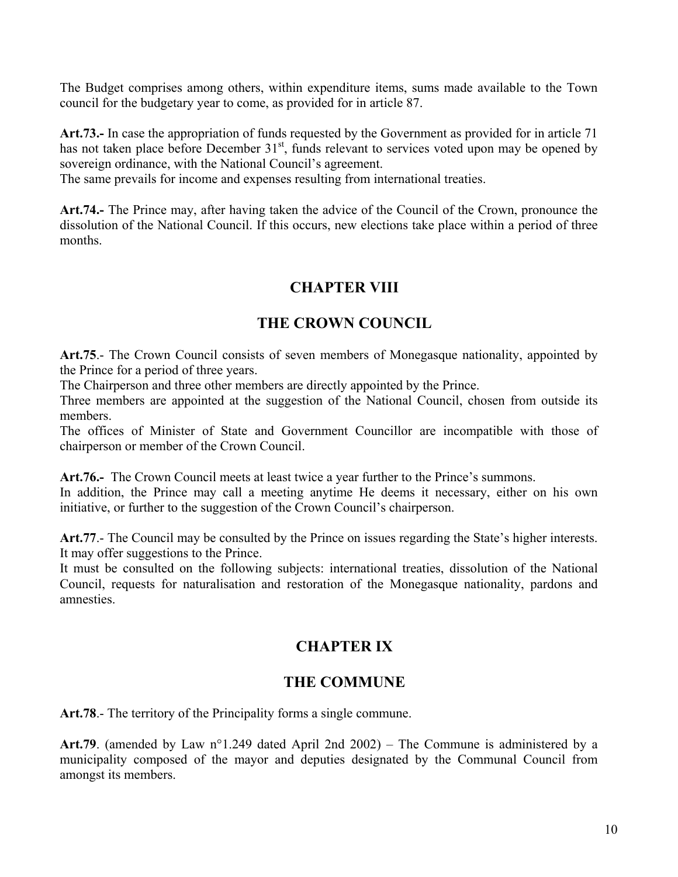The Budget comprises among others, within expenditure items, sums made available to the Town council for the budgetary year to come, as provided for in article 87.

**Art.73.-** In case the appropriation of funds requested by the Government as provided for in article 71 has not taken place before December  $31<sup>st</sup>$ , funds relevant to services voted upon may be opened by sovereign ordinance, with the National Council's agreement.

The same prevails for income and expenses resulting from international treaties.

**Art.74.-** The Prince may, after having taken the advice of the Council of the Crown, pronounce the dissolution of the National Council. If this occurs, new elections take place within a period of three months.

# **CHAPTER VIII**

#### **THE CROWN COUNCIL**

**Art.75**.- The Crown Council consists of seven members of Monegasque nationality, appointed by the Prince for a period of three years.

The Chairperson and three other members are directly appointed by the Prince.

Three members are appointed at the suggestion of the National Council, chosen from outside its members.

The offices of Minister of State and Government Councillor are incompatible with those of chairperson or member of the Crown Council.

**Art.76.-** The Crown Council meets at least twice a year further to the Prince's summons.

In addition, the Prince may call a meeting anytime He deems it necessary, either on his own initiative, or further to the suggestion of the Crown Council's chairperson.

**Art.77**.- The Council may be consulted by the Prince on issues regarding the State's higher interests. It may offer suggestions to the Prince.

It must be consulted on the following subjects: international treaties, dissolution of the National Council, requests for naturalisation and restoration of the Monegasque nationality, pardons and amnesties.

## **CHAPTER IX**

## **THE COMMUNE**

Art.78.- The territory of the Principality forms a single commune.

**Art.79**. (amended by Law n°1.249 dated April 2nd 2002) – The Commune is administered by a municipality composed of the mayor and deputies designated by the Communal Council from amongst its members.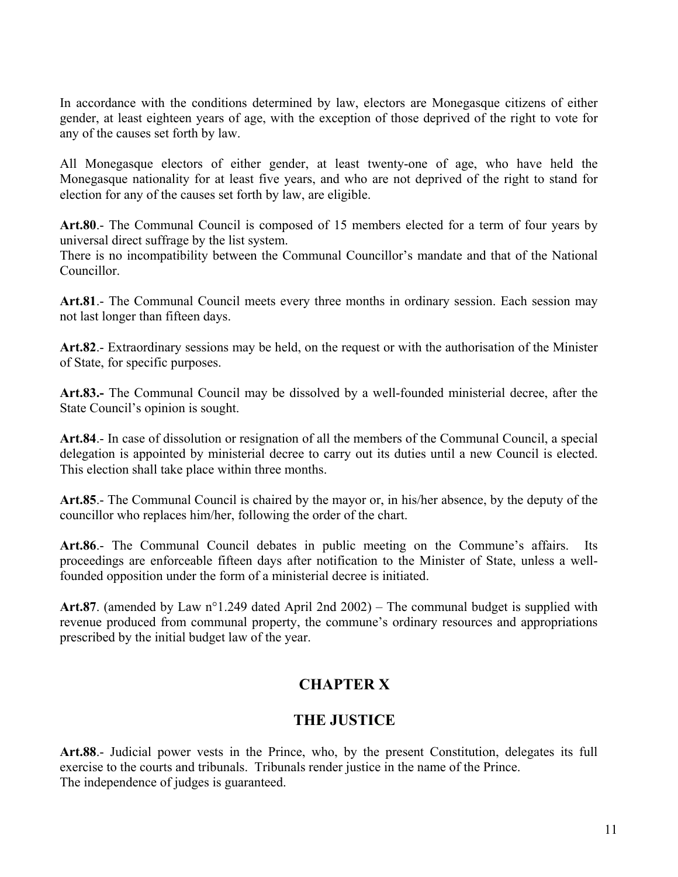In accordance with the conditions determined by law, electors are Monegasque citizens of either gender, at least eighteen years of age, with the exception of those deprived of the right to vote for any of the causes set forth by law.

All Monegasque electors of either gender, at least twenty-one of age, who have held the Monegasque nationality for at least five years, and who are not deprived of the right to stand for election for any of the causes set forth by law, are eligible.

**Art.80**.- The Communal Council is composed of 15 members elected for a term of four years by universal direct suffrage by the list system.

There is no incompatibility between the Communal Councillor's mandate and that of the National Councillor.

**Art.81**.- The Communal Council meets every three months in ordinary session. Each session may not last longer than fifteen days.

**Art.82**.- Extraordinary sessions may be held, on the request or with the authorisation of the Minister of State, for specific purposes.

**Art.83.-** The Communal Council may be dissolved by a well-founded ministerial decree, after the State Council's opinion is sought.

**Art.84**.- In case of dissolution or resignation of all the members of the Communal Council, a special delegation is appointed by ministerial decree to carry out its duties until a new Council is elected. This election shall take place within three months.

**Art.85**.- The Communal Council is chaired by the mayor or, in his/her absence, by the deputy of the councillor who replaces him/her, following the order of the chart.

**Art.86**.- The Communal Council debates in public meeting on the Commune's affairs. Its proceedings are enforceable fifteen days after notification to the Minister of State, unless a wellfounded opposition under the form of a ministerial decree is initiated.

**Art.87**. (amended by Law n°1.249 dated April 2nd 2002) – The communal budget is supplied with revenue produced from communal property, the commune's ordinary resources and appropriations prescribed by the initial budget law of the year.

# **CHAPTER X**

## **THE JUSTICE**

**Art.88**.- Judicial power vests in the Prince, who, by the present Constitution, delegates its full exercise to the courts and tribunals. Tribunals render justice in the name of the Prince. The independence of judges is guaranteed.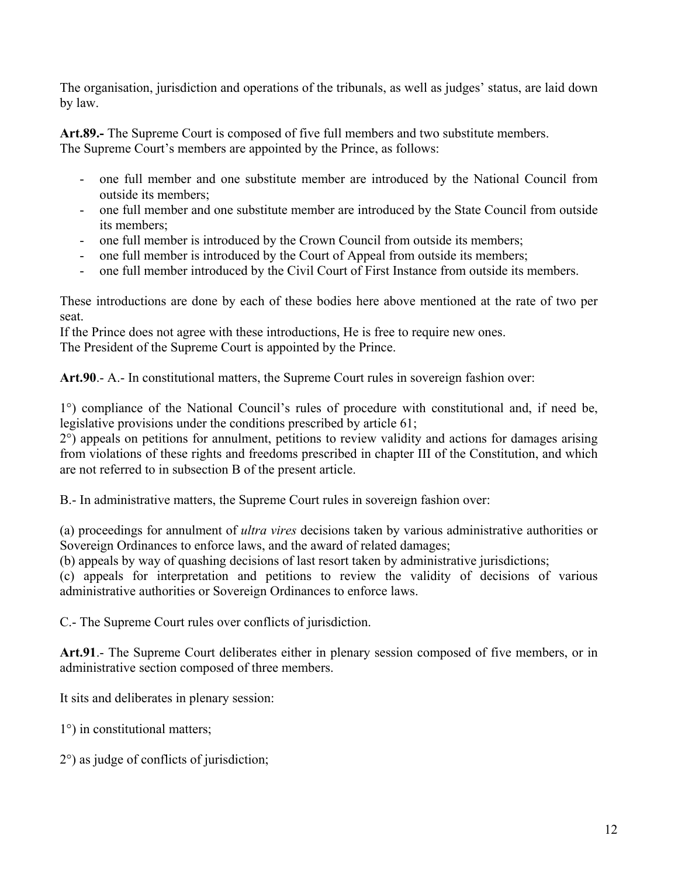The organisation, jurisdiction and operations of the tribunals, as well as judges' status, are laid down by law.

**Art.89.-** The Supreme Court is composed of five full members and two substitute members. The Supreme Court's members are appointed by the Prince, as follows:

- one full member and one substitute member are introduced by the National Council from outside its members;
- one full member and one substitute member are introduced by the State Council from outside its members;
- one full member is introduced by the Crown Council from outside its members;
- one full member is introduced by the Court of Appeal from outside its members;
- one full member introduced by the Civil Court of First Instance from outside its members.

These introductions are done by each of these bodies here above mentioned at the rate of two per seat.

If the Prince does not agree with these introductions, He is free to require new ones.

The President of the Supreme Court is appointed by the Prince.

**Art.90**.- A.- In constitutional matters, the Supreme Court rules in sovereign fashion over:

1°) compliance of the National Council's rules of procedure with constitutional and, if need be, legislative provisions under the conditions prescribed by article 61;

2°) appeals on petitions for annulment, petitions to review validity and actions for damages arising from violations of these rights and freedoms prescribed in chapter III of the Constitution, and which are not referred to in subsection B of the present article.

B.- In administrative matters, the Supreme Court rules in sovereign fashion over:

(a) proceedings for annulment of *ultra vires* decisions taken by various administrative authorities or Sovereign Ordinances to enforce laws, and the award of related damages;

(b) appeals by way of quashing decisions of last resort taken by administrative jurisdictions;

(c) appeals for interpretation and petitions to review the validity of decisions of various administrative authorities or Sovereign Ordinances to enforce laws.

C.- The Supreme Court rules over conflicts of jurisdiction.

**Art.91**.- The Supreme Court deliberates either in plenary session composed of five members, or in administrative section composed of three members.

It sits and deliberates in plenary session:

- 1°) in constitutional matters;
- 2°) as judge of conflicts of jurisdiction;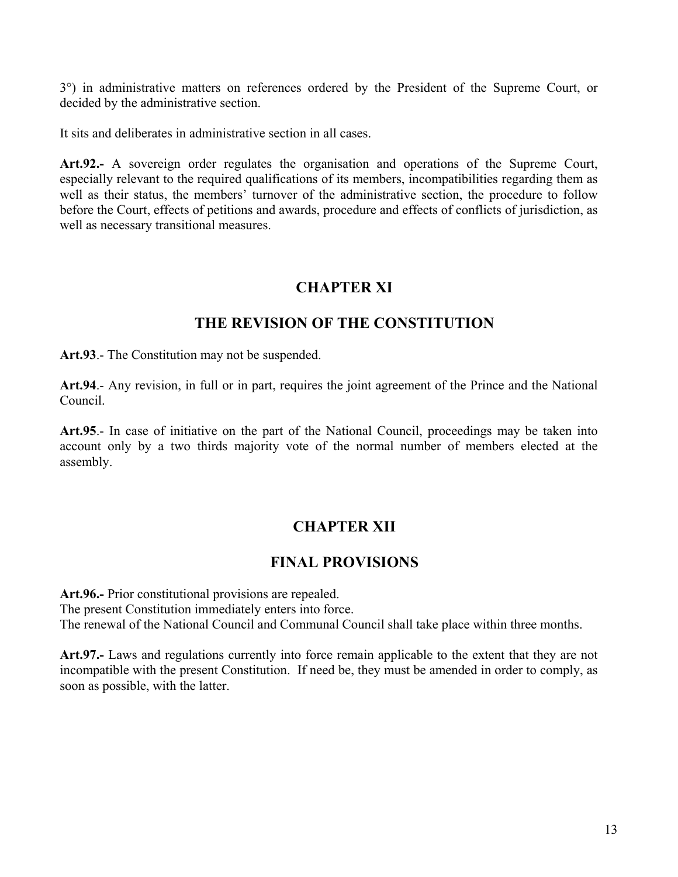3°) in administrative matters on references ordered by the President of the Supreme Court, or decided by the administrative section.

It sits and deliberates in administrative section in all cases.

**Art.92.-** A sovereign order regulates the organisation and operations of the Supreme Court, especially relevant to the required qualifications of its members, incompatibilities regarding them as well as their status, the members' turnover of the administrative section, the procedure to follow before the Court, effects of petitions and awards, procedure and effects of conflicts of jurisdiction, as well as necessary transitional measures.

# **CHAPTER XI**

## **THE REVISION OF THE CONSTITUTION**

**Art.93**.- The Constitution may not be suspended.

**Art.94**.- Any revision, in full or in part, requires the joint agreement of the Prince and the National Council.

**Art.95**.- In case of initiative on the part of the National Council, proceedings may be taken into account only by a two thirds majority vote of the normal number of members elected at the assembly.

# **CHAPTER XII**

## **FINAL PROVISIONS**

**Art.96.-** Prior constitutional provisions are repealed. The present Constitution immediately enters into force. The renewal of the National Council and Communal Council shall take place within three months.

**Art.97.-** Laws and regulations currently into force remain applicable to the extent that they are not incompatible with the present Constitution. If need be, they must be amended in order to comply, as soon as possible, with the latter.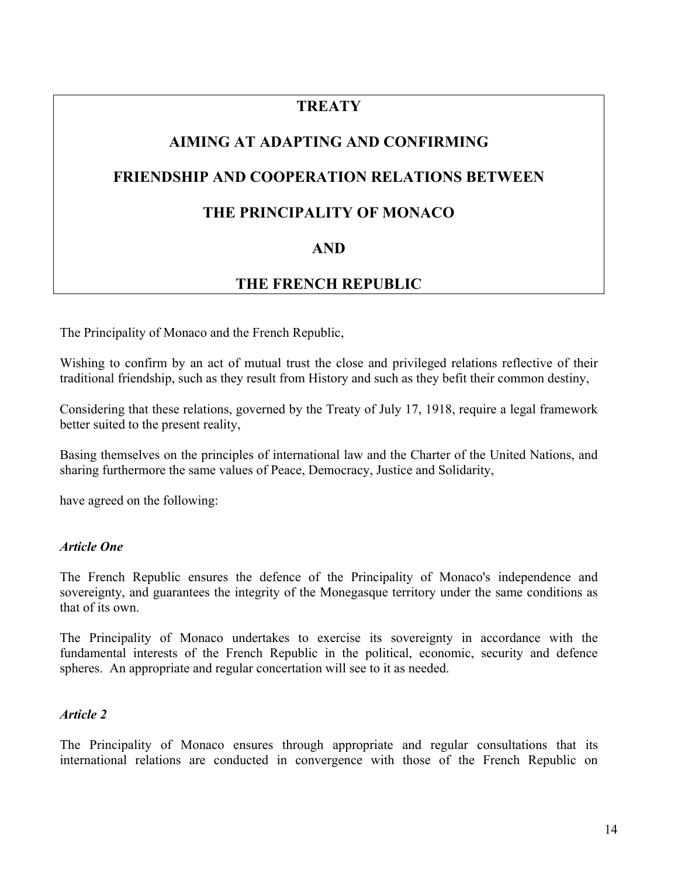## **TREATY**

# **AIMING AT ADAPTING AND CONFIRMING**

### **FRIENDSHIP AND COOPERATION RELATIONS BETWEEN**

#### **THE PRINCIPALITY OF MONACO**

## **AND**

## **THE FRENCH REPUBLIC**

The Principality of Monaco and the French Republic,

Wishing to confirm by an act of mutual trust the close and privileged relations reflective of their traditional friendship, such as they result from History and such as they befit their common destiny,

Considering that these relations, governed by the Treaty of July 17, 1918, require a legal framework better suited to the present reality,

Basing themselves on the principles of international law and the Charter of the United Nations, and sharing furthermore the same values of Peace, Democracy, Justice and Solidarity,

have agreed on the following:

#### *Article One*

The French Republic ensures the defence of the Principality of Monaco's independence and sovereignty, and guarantees the integrity of the Monegasque territory under the same conditions as that of its own.

The Principality of Monaco undertakes to exercise its sovereignty in accordance with the fundamental interests of the French Republic in the political, economic, security and defence spheres. An appropriate and regular concertation will see to it as needed.

#### *Article 2*

The Principality of Monaco ensures through appropriate and regular consultations that its international relations are conducted in convergence with those of the French Republic on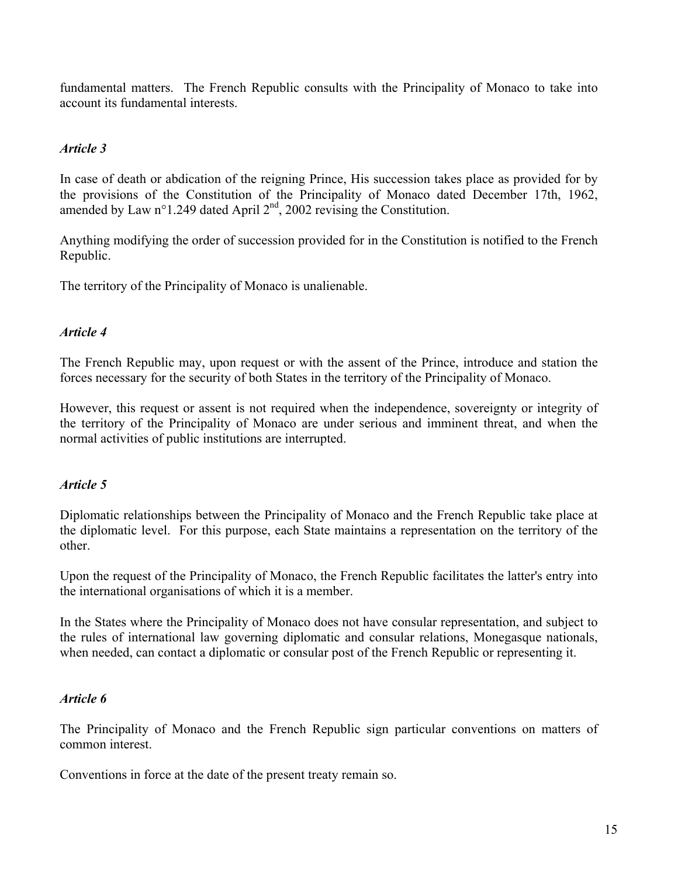fundamental matters. The French Republic consults with the Principality of Monaco to take into account its fundamental interests.

#### *Article 3*

In case of death or abdication of the reigning Prince, His succession takes place as provided for by the provisions of the Constitution of the Principality of Monaco dated December 17th, 1962, amended by Law n°1.249 dated April 2<sup>nd</sup>, 2002 revising the Constitution.

Anything modifying the order of succession provided for in the Constitution is notified to the French Republic.

The territory of the Principality of Monaco is unalienable.

#### *Article 4*

The French Republic may, upon request or with the assent of the Prince, introduce and station the forces necessary for the security of both States in the territory of the Principality of Monaco.

However, this request or assent is not required when the independence, sovereignty or integrity of the territory of the Principality of Monaco are under serious and imminent threat, and when the normal activities of public institutions are interrupted.

#### *Article 5*

Diplomatic relationships between the Principality of Monaco and the French Republic take place at the diplomatic level. For this purpose, each State maintains a representation on the territory of the other.

Upon the request of the Principality of Monaco, the French Republic facilitates the latter's entry into the international organisations of which it is a member.

In the States where the Principality of Monaco does not have consular representation, and subject to the rules of international law governing diplomatic and consular relations, Monegasque nationals, when needed, can contact a diplomatic or consular post of the French Republic or representing it.

#### *Article 6*

The Principality of Monaco and the French Republic sign particular conventions on matters of common interest.

Conventions in force at the date of the present treaty remain so.